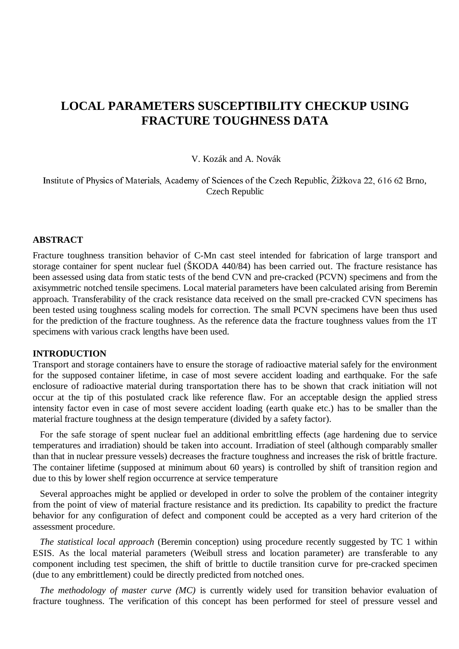# **LOCAL PARAMETERS SUSCEPTIBILITY CHECKUP USING FRACTURE TOUGHNESS DATA**

#### V. Kozák and A. Novák

Institute of Physics of Materials, Academy of Sciences of the Czech Republic, Žižkova 22, 616 62 Brno, Czech Republic

#### **ABSTRACT**

Fracture toughness transition behavior of C-Mn cast steel intended for fabrication of large transport and storage container for spent nuclear fuel (ŠKODA 440/84) has been carried out. The fracture resistance has been assessed using data from static tests of the bend CVN and pre-cracked (PCVN) specimens and from the axisymmetric notched tensile specimens. Local material parameters have been calculated arising from Beremin approach. Transferability of the crack resistance data received on the small pre-cracked CVN specimens has been tested using toughness scaling models for correction. The small PCVN specimens have been thus used for the prediction of the fracture toughness. As the reference data the fracture toughness values from the 1T specimens with various crack lengths have been used.

### **INTRODUCTION**

Transport and storage containers have to ensure the storage of radioactive material safely for the environment for the supposed container lifetime, in case of most severe accident loading and earthquake. For the safe enclosure of radioactive material during transportation there has to be shown that crack initiation will not occur at the tip of this postulated crack like reference flaw. For an acceptable design the applied stress intensity factor even in case of most severe accident loading (earth quake etc.) has to be smaller than the material fracture toughness at the design temperature (divided by a safety factor).

 For the safe storage of spent nuclear fuel an additional embrittling effects (age hardening due to service temperatures and irradiation) should be taken into account. Irradiation of steel (although comparably smaller than that in nuclear pressure vessels) decreases the fracture toughness and increases the risk of brittle fracture. The container lifetime (supposed at minimum about 60 years) is controlled by shift of transition region and due to this by lower shelf region occurrence at service temperature

 Several approaches might be applied or developed in order to solve the problem of the container integrity from the point of view of material fracture resistance and its prediction. Its capability to predict the fracture behavior for any configuration of defect and component could be accepted as a very hard criterion of the assessment procedure.

 *The statistical local approach* (Beremin conception) using procedure recently suggested by TC 1 within ESIS. As the local material parameters (Weibull stress and location parameter) are transferable to any component including test specimen, the shift of brittle to ductile transition curve for pre-cracked specimen (due to any embrittlement) could be directly predicted from notched ones.

 *The methodology of master curve (MC)* is currently widely used for transition behavior evaluation of fracture toughness. The verification of this concept has been performed for steel of pressure vessel and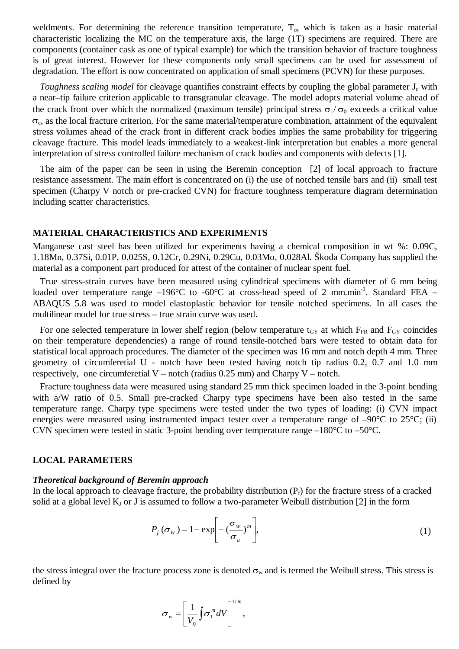weldments. For determining the reference transition temperature,  $T<sub>o</sub>$ , which is taken as a basic material characteristic localizing the MC on the temperature axis, the large (1T) specimens are required. There are components (container cask as one of typical example) for which the transition behavior of fracture toughness is of great interest. However for these components only small specimens can be used for assessment of degradation. The effort is now concentrated on application of small specimens (PCVN) for these purposes.

*Toughness scaling model* for cleavage quantifies constraint effects by coupling the global parameter J<sub>c</sub> with a near–tip failure criterion applicable to transgranular cleavage. The model adopts material volume ahead of the crack front over which the normalized (maximum tensile) principal stress  $\sigma_1/\sigma_0$  exceeds a critical value  $\sigma_c$ , as the local fracture criterion. For the same material/temperature combination, attainment of the equivalent stress volumes ahead of the crack front in different crack bodies implies the same probability for triggering cleavage fracture. This model leads immediately to a weakest-link interpretation but enables a more general interpretation of stress controlled failure mechanism of crack bodies and components with defects [1].

 The aim of the paper can be seen in using the Beremin conception [2] of local approach to fracture resistance assessment. The main effort is concentrated on (i) the use of notched tensile bars and (ii) small test specimen (Charpy V notch or pre-cracked CVN) for fracture toughness temperature diagram determination including scatter characteristics.

#### **MATERIAL CHARACTERISTICS AND EXPERIMENTS**

Manganese cast steel has been utilized for experiments having a chemical composition in wt %: 0.09C, 1.18Mn, 0.37Si, 0.01P, 0.025S, 0.12Cr, 0.29Ni, 0.29Cu, 0.03Mo, 0.028Al. Škoda Company has supplied the material as a component part produced for attest of the container of nuclear spent fuel.

 True stress-strain curves have been measured using cylindrical specimens with diameter of 6 mm being loaded over temperature range –196 $^{\circ}$ C to -60 $^{\circ}$ C at cross-head speed of 2 mm.min<sup>-1</sup>. Standard FEA – ABAQUS 5.8 was used to model elastoplastic behavior for tensile notched specimens. In all cases the multilinear model for true stress – true strain curve was used.

For one selected temperature in lower shelf region (below temperature  $t<sub>GY</sub>$  at which  $F<sub>FR</sub>$  and  $F<sub>GY</sub>$  coincides on their temperature dependencies) a range of round tensile-notched bars were tested to obtain data for statistical local approach procedures. The diameter of the specimen was 16 mm and notch depth 4 mm. Three geometry of circumferetial U - notch have been tested having notch tip radius 0.2, 0.7 and 1.0 mm respectively, one circumferetial  $V -$  notch (radius 0.25 mm) and Charpy  $V -$  notch.

 Fracture toughness data were measured using standard 25 mm thick specimen loaded in the 3-point bending with a/W ratio of 0.5. Small pre-cracked Charpy type specimens have been also tested in the same temperature range. Charpy type specimens were tested under the two types of loading: (i) CVN impact energies were measured using instrumented impact tester over a temperature range of -90°C to 25°C; (ii) CVN specimen were tested in static 3-point bending over temperature range –180°C to –50°C.

## **LOCAL PARAMETERS**

## *Theoretical background of Beremin approach*

In the local approach to cleavage fracture, the probability distribution  $(P_f)$  for the fracture stress of a cracked solid at a global level  $K_J$  or J is assumed to follow a two-parameter Weibull distribution [2] in the form

$$
P_f(\sigma_w) = 1 - \exp\left[-\left(\frac{\sigma_w}{\sigma_u}\right)^m\right],\tag{1}
$$

the stress integral over the fracture process zone is denoted  $\sigma_w$  and is termed the Weibull stress. This stress is defined by

$$
\sigma_{w} = \left[\frac{1}{V_0}\int \sigma_1^m dV\right]^{1/m},
$$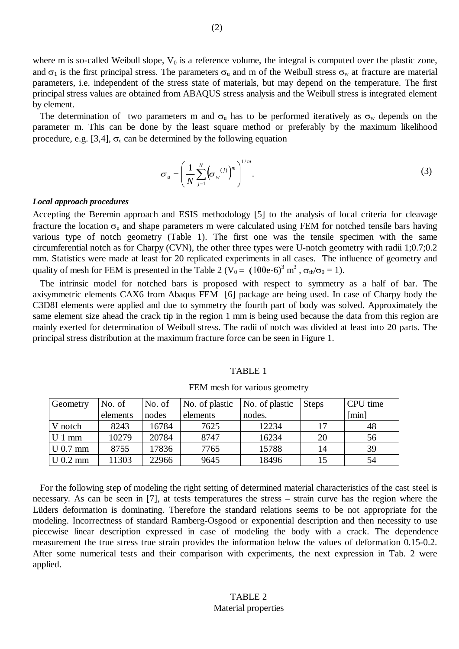where m is so-called Weibull slope,  $V_0$  is a reference volume, the integral is computed over the plastic zone, and  $\sigma_1$  is the first principal stress. The parameters  $\sigma_u$  and m of the Weibull stress  $\sigma_w$  at fracture are material parameters, i.e. independent of the stress state of materials, but may depend on the temperature. The first principal stress values are obtained from ABAQUS stress analysis and the Weibull stress is integrated element by element.

The determination of two parameters m and  $\sigma_u$  has to be performed iteratively as  $\sigma_w$  depends on the parameter m. This can be done by the least square method or preferably by the maximum likelihood procedure, e.g. [3,4],  $\sigma_u$  can be determined by the following equation

$$
\sigma_u = \left(\frac{1}{N} \sum_{j=1}^N \left(\sigma_w^{(j)}\right)^m\right)^{1/m}.\tag{3}
$$

#### *Local approach procedures*

Accepting the Beremin approach and ESIS methodology [5] to the analysis of local criteria for cleavage fracture the location  $\sigma_u$  and shape parameters m were calculated using FEM for notched tensile bars having various type of notch geometry (Table 1). The first one was the tensile specimen with the same circumferential notch as for Charpy (CVN), the other three types were U-notch geometry with radii 1;0.7;0.2 mm. Statistics were made at least for 20 replicated experiments in all cases. The influence of geometry and quality of mesh for FEM is presented in the Table 2 ( $V_0 = (100e-6)^3$  m<sup>3</sup>,  $\sigma_{th}/\sigma_0 = 1$ ).

 The intrinsic model for notched bars is proposed with respect to symmetry as a half of bar. The axisymmetric elements CAX6 from Abaqus FEM [6] package are being used. In case of Charpy body the C3D8I elements were applied and due to symmetry the fourth part of body was solved. Approximately the same element size ahead the crack tip in the region 1 mm is being used because the data from this region are mainly exerted for determination of Weibull stress. The radii of notch was divided at least into 20 parts. The principal stress distribution at the maximum fracture force can be seen in Figure 1.

#### TABLE 1

| Geometry   | No. of   | No. of | No. of plastic | No. of plastic | <b>Steps</b> | CPU time |
|------------|----------|--------|----------------|----------------|--------------|----------|
|            | elements | nodes  | elements       | nodes.         |              | [min]    |
| V notch    | 8243     | 16784  | 7625           | 12234          | 17           | 48       |
| $U1$ mm    | 10279    | 20784  | 8747           | 16234          | 20           | 56       |
| $U$ 0.7 mm | 8755     | 17836  | 7765           | 15788          | 14           | 39       |
| $U$ 0.2 mm | 11303    | 22966  | 9645           | 18496          | 15           | 54       |

FEM mesh for various geometry

 For the following step of modeling the right setting of determined material characteristics of the cast steel is necessary. As can be seen in [7], at tests temperatures the stress – strain curve has the region where the Lüders deformation is dominating. Therefore the standard relations seems to be not appropriate for the modeling. Incorrectness of standard Ramberg-Osgood or exponential description and then necessity to use piecewise linear description expressed in case of modeling the body with a crack. The dependence measurement the true stress true strain provides the information below the values of deformation 0.15-0.2. After some numerical tests and their comparison with experiments, the next expression in Tab. 2 were applied.

## TABLE 2 Material properties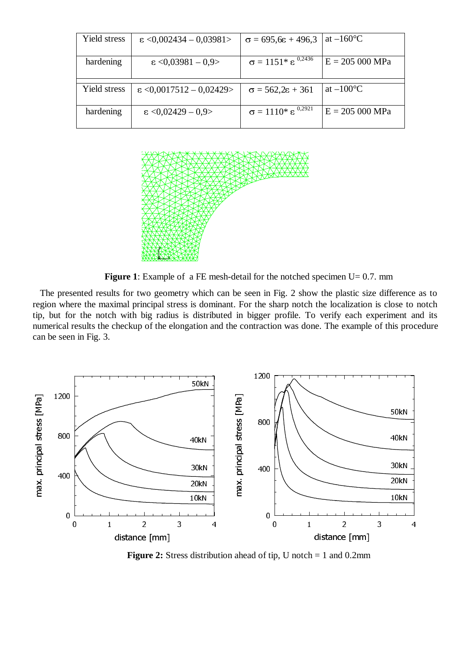| Yield stress | $\epsilon$ <0,002434 - 0,03981>  | $\sigma = 695.6\varepsilon + 496.3$                          | at $-160^{\circ}$ C |
|--------------|----------------------------------|--------------------------------------------------------------|---------------------|
| hardening    | $\epsilon$ <0.03981 - 0.9>       | $\sigma = 1151$ <sup>*</sup> $\varepsilon$ <sup>0,2436</sup> | $E = 205 000 MPa$   |
|              |                                  |                                                              |                     |
| Yield stress | $\epsilon$ <0,0017512 - 0,02429> | $\sigma = 562.2\varepsilon + 361$                            | at $-100^{\circ}$ C |
| hardening    | $\epsilon$ <0,02429 - 0,9>       | $\sigma = 1110^* \varepsilon^{0,2921}$                       | $E = 205000 MPa$    |



**Figure 1**: Example of a FE mesh-detail for the notched specimen U= 0.7. mm

 The presented results for two geometry which can be seen in Fig. 2 show the plastic size difference as to region where the maximal principal stress is dominant. For the sharp notch the localization is close to notch tip, but for the notch with big radius is distributed in bigger profile. To verify each experiment and its numerical results the checkup of the elongation and the contraction was done. The example of this procedure can be seen in Fig. 3.



**Figure 2:** Stress distribution ahead of tip, U notch = 1 and 0.2mm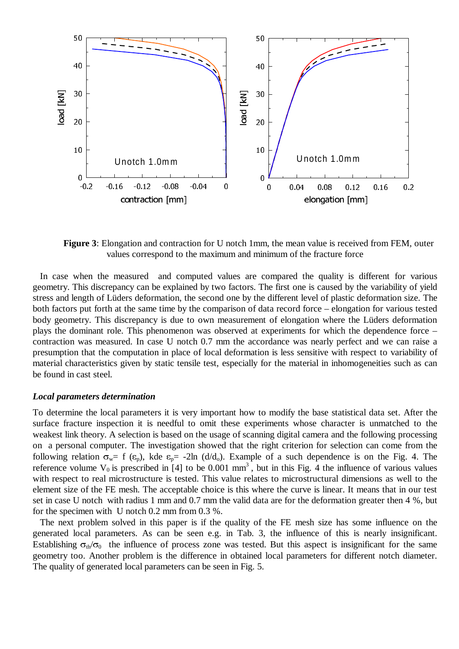

**Figure 3**: Elongation and contraction for U notch 1mm, the mean value is received from FEM, outer values correspond to the maximum and minimum of the fracture force

 In case when the measured and computed values are compared the quality is different for various geometry. This discrepancy can be explained by two factors. The first one is caused by the variability of yield stress and length of Lüders deformation, the second one by the different level of plastic deformation size. The both factors put forth at the same time by the comparison of data record force – elongation for various tested body geometry. This discrepancy is due to own measurement of elongation where the Lüders deformation plays the dominant role. This phenomenon was observed at experiments for which the dependence force – contraction was measured. In case U notch 0.7 mm the accordance was nearly perfect and we can raise a presumption that the computation in place of local deformation is less sensitive with respect to variability of material characteristics given by static tensile test, especially for the material in inhomogeneities such as can be found in cast steel.

#### *Local parameters determination*

To determine the local parameters it is very important how to modify the base statistical data set. After the surface fracture inspection it is needful to omit these experiments whose character is unmatched to the weakest link theory. A selection is based on the usage of scanning digital camera and the following processing on a personal computer. The investigation showed that the right criterion for selection can come from the following relation  $\sigma_w = f(\epsilon_p)$ , kde  $\epsilon_p = -2\ln (d/d_o)$ . Example of a such dependence is on the Fig. 4. The reference volume  $V_0$  is prescribed in [4] to be 0.001 mm<sup>3</sup>, but in this Fig. 4 the influence of various values with respect to real microstructure is tested. This value relates to microstructural dimensions as well to the element size of the FE mesh. The acceptable choice is this where the curve is linear. It means that in our test set in case U notch with radius 1 mm and 0.7 mm the valid data are for the deformation greater then 4 %, but for the specimen with U notch 0.2 mm from 0.3 %.

 The next problem solved in this paper is if the quality of the FE mesh size has some influence on the generated local parameters. As can be seen e.g. in Tab. 3, the influence of this is nearly insignificant. Establishing  $\sigma_{\text{th}}/\sigma_0$  the influence of process zone was tested. But this aspect is insignificant for the same geometry too. Another problem is the difference in obtained local parameters for different notch diameter. The quality of generated local parameters can be seen in Fig. 5.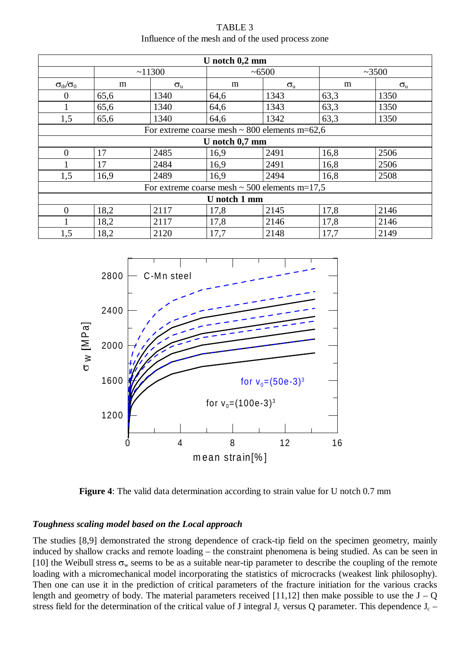| TABLE 3                                            |  |
|----------------------------------------------------|--|
| Influence of the mesh and of the used process zone |  |

| U notch $0,2$ mm                                   |                                                    |                  |      |                  |      |                  |  |  |
|----------------------------------------------------|----------------------------------------------------|------------------|------|------------------|------|------------------|--|--|
|                                                    | ~11300                                             |                  |      | ~100             |      | ~23500           |  |  |
| $\sigma_{\text{th}}/\sigma_0$                      | m                                                  | $\sigma_{\rm u}$ | m    | $\sigma_{\rm u}$ | m    | $\sigma_{\rm u}$ |  |  |
| $\theta$                                           | 65,6                                               | 1340             | 64,6 | 1343             | 63,3 | 1350             |  |  |
|                                                    | 65,6                                               | 1340             | 64,6 | 1343             | 63,3 | 1350             |  |  |
| 1,5                                                | 65,6                                               | 1340             | 64,6 | 1342             | 63,3 | 1350             |  |  |
|                                                    | For extreme coarse mesh $\sim 800$ elements m=62,6 |                  |      |                  |      |                  |  |  |
| U notch $0,7$ mm                                   |                                                    |                  |      |                  |      |                  |  |  |
| $\Omega$                                           | 17                                                 | 2485             | 16,9 | 2491             | 16,8 | 2506             |  |  |
|                                                    | 17                                                 | 2484             | 16,9 | 2491             | 16,8 | 2506             |  |  |
| 1,5                                                | 16,9                                               | 2489             | 16.9 | 2494             | 16,8 | 2508             |  |  |
| For extreme coarse mesh $\sim$ 500 elements m=17,5 |                                                    |                  |      |                  |      |                  |  |  |
| U notch 1 mm                                       |                                                    |                  |      |                  |      |                  |  |  |
| $\Omega$                                           | 18,2                                               | 2117             | 17,8 | 2145             | 17,8 | 2146             |  |  |
|                                                    | 18,2                                               | 2117             | 17,8 | 2146             | 17,8 | 2146             |  |  |
| 1,5                                                | 18,2                                               | 2120             | 17,7 | 2148             | 17,7 | 2149             |  |  |



**Figure 4**: The valid data determination according to strain value for U notch 0.7 mm

## *Toughness scaling model based on the Local approach*

The studies [8,9] demonstrated the strong dependence of crack-tip field on the specimen geometry, mainly induced by shallow cracks and remote loading – the constraint phenomena is being studied. As can be seen in [10] the Weibull stress  $\sigma_w$  seems to be as a suitable near-tip parameter to describe the coupling of the remote loading with a micromechanical model incorporating the statistics of microcracks (weakest link philosophy). Then one can use it in the prediction of critical parameters of the fracture initiation for the various cracks length and geometry of body. The material parameters received [11,12] then make possible to use the  $J - Q$ stress field for the determination of the critical value of J integral  $J_c$  versus Q parameter. This dependence  $J_c$  –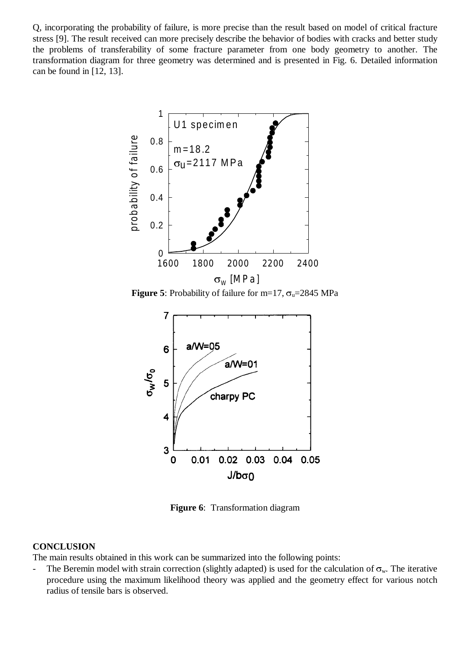Q, incorporating the probability of failure, is more precise than the result based on model of critical fracture stress [9]. The result received can more precisely describe the behavior of bodies with cracks and better study the problems of transferability of some fracture parameter from one body geometry to another. The transformation diagram for three geometry was determined and is presented in Fig. 6. Detailed information can be found in [12, 13].



**Figure 5**: Probability of failure for m=17,  $\sigma_u$ =2845 MPa



**Figure 6**: Transformation diagram

#### **CONCLUSION**

The main results obtained in this work can be summarized into the following points:

- The Beremin model with strain correction (slightly adapted) is used for the calculation of  $\sigma_w$ . The iterative procedure using the maximum likelihood theory was applied and the geometry effect for various notch radius of tensile bars is observed.